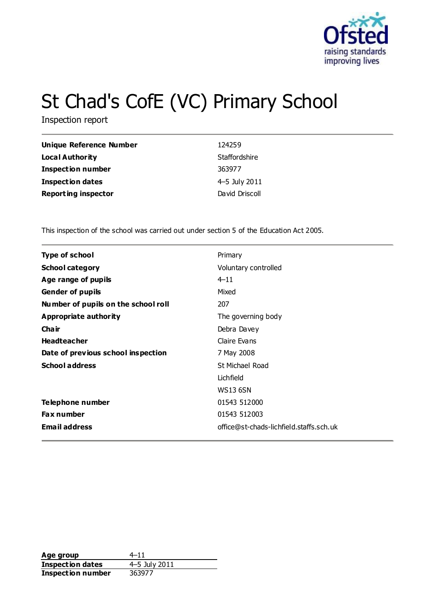

# St Chad's CofE (VC) Primary School

Inspection report

| <b>Unique Reference Number</b> | 124259         |
|--------------------------------|----------------|
| Local Authority                | Staffordshire  |
| <b>Inspection number</b>       | 363977         |
| <b>Inspection dates</b>        | 4-5 July 2011  |
| <b>Reporting inspector</b>     | David Driscoll |

This inspection of the school was carried out under section 5 of the Education Act 2005.

| <b>Type of school</b>               | Primary                                 |
|-------------------------------------|-----------------------------------------|
| <b>School category</b>              | Voluntary controlled                    |
| Age range of pupils                 | $4 - 11$                                |
| <b>Gender of pupils</b>             | Mixed                                   |
| Number of pupils on the school roll | 207                                     |
| <b>Appropriate authority</b>        | The governing body                      |
| Cha ir                              | Debra Davey                             |
| <b>Headteacher</b>                  | Claire Evans                            |
| Date of previous school inspection  | 7 May 2008                              |
| <b>School address</b>               | St Michael Road                         |
|                                     | Lichfield                               |
|                                     | <b>WS13 6SN</b>                         |
| Telephone number                    | 01543 512000                            |
| <b>Fax number</b>                   | 01543 512003                            |
| <b>Email address</b>                | office@st-chads-lichfield.staffs.sch.uk |

**Age group** 4–11 **Inspection dates** 4–5 July 2011 **Inspection number** 363977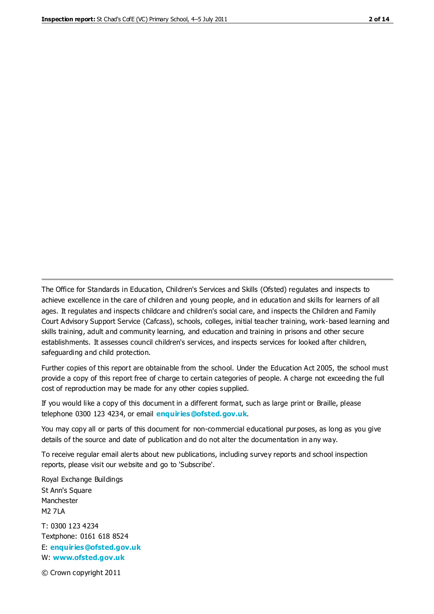The Office for Standards in Education, Children's Services and Skills (Ofsted) regulates and inspects to achieve excellence in the care of children and young people, and in education and skills for learners of all ages. It regulates and inspects childcare and children's social care, and inspects the Children and Family Court Advisory Support Service (Cafcass), schools, colleges, initial teacher training, work-based learning and skills training, adult and community learning, and education and training in prisons and other secure establishments. It assesses council children's services, and inspects services for looked after children, safeguarding and child protection.

Further copies of this report are obtainable from the school. Under the Education Act 2005, the school must provide a copy of this report free of charge to certain categories of people. A charge not exceeding the full cost of reproduction may be made for any other copies supplied.

If you would like a copy of this document in a different format, such as large print or Braille, please telephone 0300 123 4234, or email **[enquiries@ofsted.gov.uk](mailto:enquiries@ofsted.gov.uk)**.

You may copy all or parts of this document for non-commercial educational purposes, as long as you give details of the source and date of publication and do not alter the documentation in any way.

To receive regular email alerts about new publications, including survey reports and school inspection reports, please visit our website and go to 'Subscribe'.

Royal Exchange Buildings St Ann's Square Manchester M2 7LA T: 0300 123 4234 Textphone: 0161 618 8524 E: **[enquiries@ofsted.gov.uk](mailto:enquiries@ofsted.gov.uk)**

W: **[www.ofsted.gov.uk](http://www.ofsted.gov.uk/)**

© Crown copyright 2011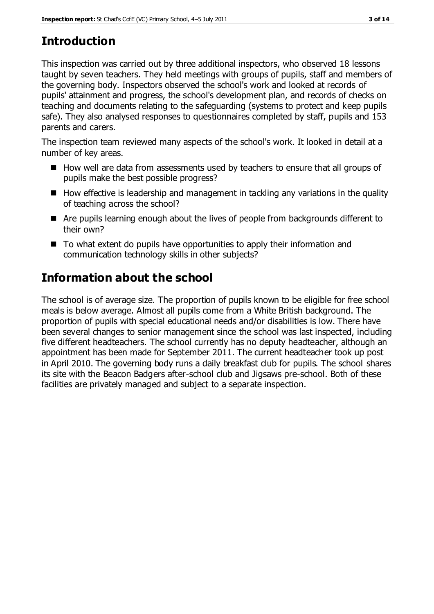# **Introduction**

This inspection was carried out by three additional inspectors, who observed 18 lessons taught by seven teachers. They held meetings with groups of pupils, staff and members of the governing body. Inspectors observed the school's work and looked at records of pupils' attainment and progress, the school's development plan, and records of checks on teaching and documents relating to the safeguarding (systems to protect and keep pupils safe). They also analysed responses to questionnaires completed by staff, pupils and 153 parents and carers.

The inspection team reviewed many aspects of the school's work. It looked in detail at a number of key areas.

- $\blacksquare$  How well are data from assessments used by teachers to ensure that all groups of pupils make the best possible progress?
- $\blacksquare$  How effective is leadership and management in tackling any variations in the quality of teaching across the school?
- Are pupils learning enough about the lives of people from backgrounds different to their own?
- To what extent do pupils have opportunities to apply their information and communication technology skills in other subjects?

# **Information about the school**

The school is of average size. The proportion of pupils known to be eligible for free school meals is below average. Almost all pupils come from a White British background. The proportion of pupils with special educational needs and/or disabilities is low. There have been several changes to senior management since the school was last inspected, including five different headteachers. The school currently has no deputy headteacher, although an appointment has been made for September 2011. The current headteacher took up post in April 2010. The governing body runs a daily breakfast club for pupils. The school shares its site with the Beacon Badgers after-school club and Jigsaws pre-school. Both of these facilities are privately managed and subject to a separate inspection.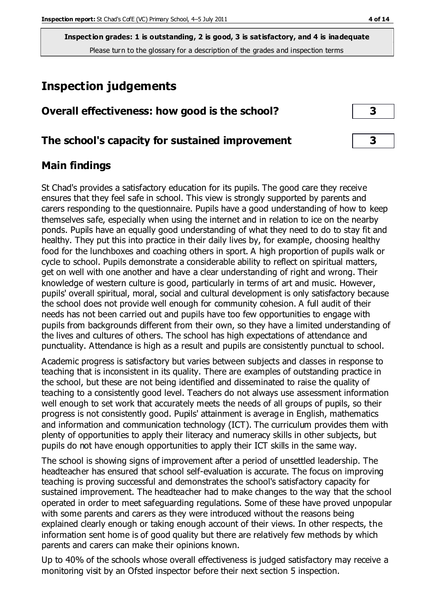**Inspection grades: 1 is outstanding, 2 is good, 3 is satisfactory, and 4 is inadequate** Please turn to the glossary for a description of the grades and inspection terms

# **Inspection judgements**

### **Overall effectiveness: how good is the school? 3**

#### **The school's capacity for sustained improvement 3**

#### **Main findings**

St Chad's provides a satisfactory education for its pupils. The good care they receive ensures that they feel safe in school. This view is strongly supported by parents and carers responding to the questionnaire. Pupils have a good understanding of how to keep themselves safe, especially when using the internet and in relation to ice on the nearby ponds. Pupils have an equally good understanding of what they need to do to stay fit and healthy. They put this into practice in their daily lives by, for example, choosing healthy food for the lunchboxes and coaching others in sport. A high proportion of pupils walk or cycle to school. Pupils demonstrate a considerable ability to reflect on spiritual matters, get on well with one another and have a clear understanding of right and wrong. Their knowledge of western culture is good, particularly in terms of art and music. However, pupils' overall spiritual, moral, social and cultural development is only satisfactory because the school does not provide well enough for community cohesion. A full audit of their needs has not been carried out and pupils have too few opportunities to engage with pupils from backgrounds different from their own, so they have a limited understanding of the lives and cultures of others. The school has high expectations of attendance and punctuality. Attendance is high as a result and pupils are consistently punctual to school.

Academic progress is satisfactory but varies between subjects and classes in response to teaching that is inconsistent in its quality. There are examples of outstanding practice in the school, but these are not being identified and disseminated to raise the quality of teaching to a consistently good level. Teachers do not always use assessment information well enough to set work that accurately meets the needs of all groups of pupils, so their progress is not consistently good. Pupils' attainment is average in English, mathematics and information and communication technology (ICT). The curriculum provides them with plenty of opportunities to apply their literacy and numeracy skills in other subjects, but pupils do not have enough opportunities to apply their ICT skills in the same way.

The school is showing signs of improvement after a period of unsettled leadership. The headteacher has ensured that school self-evaluation is accurate. The focus on improving teaching is proving successful and demonstrates the school's satisfactory capacity for sustained improvement. The headteacher had to make changes to the way that the school operated in order to meet safeguarding regulations. Some of these have proved unpopular with some parents and carers as they were introduced without the reasons being explained clearly enough or taking enough account of their views. In other respects, the information sent home is of good quality but there are relatively few methods by which parents and carers can make their opinions known.

Up to 40% of the schools whose overall effectiveness is judged satisfactory may receive a monitoring visit by an Ofsted inspector before their next section 5 inspection.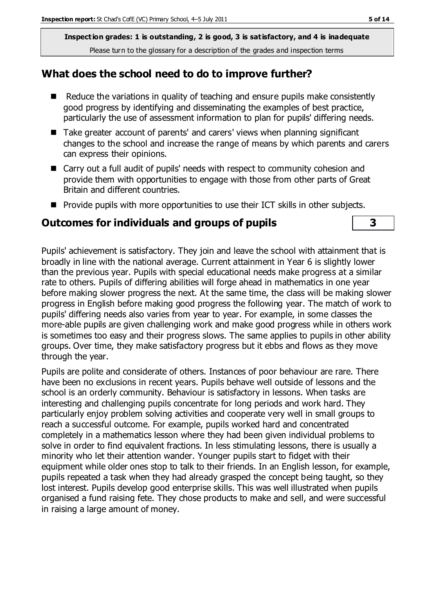**Inspection grades: 1 is outstanding, 2 is good, 3 is satisfactory, and 4 is inadequate** Please turn to the glossary for a description of the grades and inspection terms

#### **What does the school need to do to improve further?**

- Reduce the variations in quality of teaching and ensure pupils make consistently good progress by identifying and disseminating the examples of best practice, particularly the use of assessment information to plan for pupils' differing needs.
- Take greater account of parents' and carers' views when planning significant changes to the school and increase the range of means by which parents and carers can express their opinions.
- Carry out a full audit of pupils' needs with respect to community cohesion and provide them with opportunities to engage with those from other parts of Great Britain and different countries.
- $\blacksquare$  Provide pupils with more opportunities to use their ICT skills in other subjects.

#### **Outcomes for individuals and groups of pupils 3**

Pupils' achievement is satisfactory. They join and leave the school with attainment that is broadly in line with the national average. Current attainment in Year 6 is slightly lower than the previous year. Pupils with special educational needs make progress at a similar rate to others. Pupils of differing abilities will forge ahead in mathematics in one year before making slower progress the next. At the same time, the class will be making slower progress in English before making good progress the following year. The match of work to pupils' differing needs also varies from year to year. For example, in some classes the more-able pupils are given challenging work and make good progress while in others work is sometimes too easy and their progress slows. The same applies to pupils in other ability groups. Over time, they make satisfactory progress but it ebbs and flows as they move through the year.

Pupils are polite and considerate of others. Instances of poor behaviour are rare. There have been no exclusions in recent years. Pupils behave well outside of lessons and the school is an orderly community. Behaviour is satisfactory in lessons. When tasks are interesting and challenging pupils concentrate for long periods and work hard. They particularly enjoy problem solving activities and cooperate very well in small groups to reach a successful outcome. For example, pupils worked hard and concentrated completely in a mathematics lesson where they had been given individual problems to solve in order to find equivalent fractions. In less stimulating lessons, there is usually a minority who let their attention wander. Younger pupils start to fidget with their equipment while older ones stop to talk to their friends. In an English lesson, for example, pupils repeated a task when they had already grasped the concept being taught, so they lost interest. Pupils develop good enterprise skills. This was well illustrated when pupils organised a fund raising fete. They chose products to make and sell, and were successful in raising a large amount of money.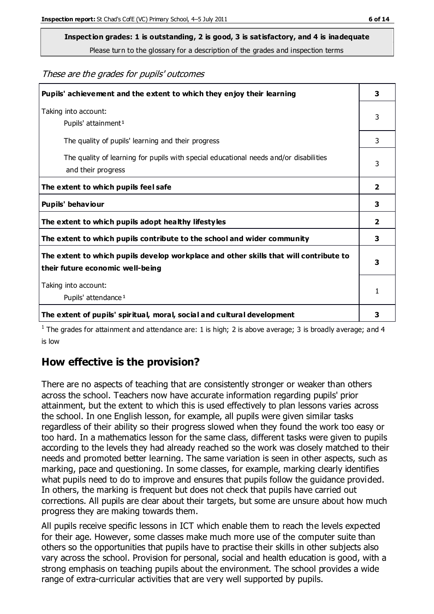# **Inspection grades: 1 is outstanding, 2 is good, 3 is satisfactory, and 4 is inadequate**

Please turn to the glossary for a description of the grades and inspection terms

These are the grades for pupils' outcomes

| Pupils' achievement and the extent to which they enjoy their learning                                                     |                         |
|---------------------------------------------------------------------------------------------------------------------------|-------------------------|
| Taking into account:<br>Pupils' attainment <sup>1</sup>                                                                   | 3                       |
| The quality of pupils' learning and their progress                                                                        | 3                       |
| The quality of learning for pupils with special educational needs and/or disabilities<br>and their progress               | 3                       |
| The extent to which pupils feel safe                                                                                      | $\overline{\mathbf{2}}$ |
| Pupils' behaviour                                                                                                         | 3                       |
| The extent to which pupils adopt healthy lifestyles                                                                       | 2                       |
| The extent to which pupils contribute to the school and wider community                                                   | 3                       |
| The extent to which pupils develop workplace and other skills that will contribute to<br>their future economic well-being |                         |
| Taking into account:<br>Pupils' attendance <sup>1</sup>                                                                   |                         |
| The extent of pupils' spiritual, moral, social and cultural development                                                   | 3                       |

<sup>1</sup> The grades for attainment and attendance are: 1 is high; 2 is above average; 3 is broadly average; and 4 is low

# **How effective is the provision?**

There are no aspects of teaching that are consistently stronger or weaker than others across the school. Teachers now have accurate information regarding pupils' prior attainment, but the extent to which this is used effectively to plan lessons varies across the school. In one English lesson, for example, all pupils were given similar tasks regardless of their ability so their progress slowed when they found the work too easy or too hard. In a mathematics lesson for the same class, different tasks were given to pupils according to the levels they had already reached so the work was closely matched to their needs and promoted better learning. The same variation is seen in other aspects, such as marking, pace and questioning. In some classes, for example, marking clearly identifies what pupils need to do to improve and ensures that pupils follow the guidance provided. In others, the marking is frequent but does not check that pupils have carried out corrections. All pupils are clear about their targets, but some are unsure about how much progress they are making towards them.

All pupils receive specific lessons in ICT which enable them to reach the levels expected for their age. However, some classes make much more use of the computer suite than others so the opportunities that pupils have to practise their skills in other subjects also vary across the school. Provision for personal, social and health education is good, with a strong emphasis on teaching pupils about the environment. The school provides a wide range of extra-curricular activities that are very well supported by pupils.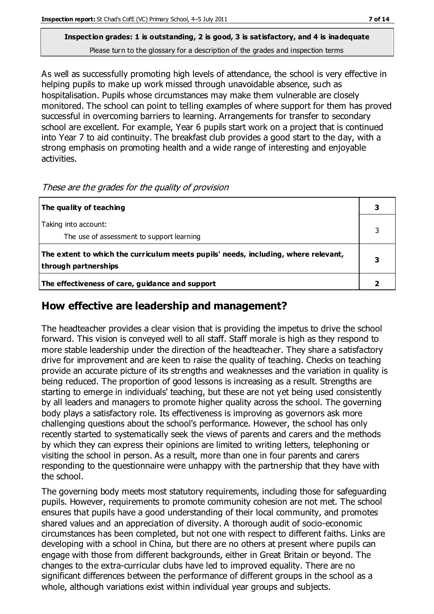#### **Inspection grades: 1 is outstanding, 2 is good, 3 is satisfactory, and 4 is inadequate** Please turn to the glossary for a description of the grades and inspection terms

As well as successfully promoting high levels of attendance, the school is very effective in helping pupils to make up work missed through unavoidable absence, such as hospitalisation. Pupils whose circumstances may make them vulnerable are closely monitored. The school can point to telling examples of where support for them has proved successful in overcoming barriers to learning. Arrangements for transfer to secondary school are excellent. For example, Year 6 pupils start work on a project that is continued into Year 7 to aid continuity. The breakfast club provides a good start to the day, with a strong emphasis on promoting health and a wide range of interesting and enjoyable activities.

| The quality of teaching                                                                                    |  |
|------------------------------------------------------------------------------------------------------------|--|
| Taking into account:<br>The use of assessment to support learning                                          |  |
| The extent to which the curriculum meets pupils' needs, including, where relevant,<br>through partnerships |  |
| The effectiveness of care, guidance and support                                                            |  |

These are the grades for the quality of provision

## **How effective are leadership and management?**

The headteacher provides a clear vision that is providing the impetus to drive the school forward. This vision is conveyed well to all staff. Staff morale is high as they respond to more stable leadership under the direction of the headteacher. They share a satisfactory drive for improvement and are keen to raise the quality of teaching. Checks on teaching provide an accurate picture of its strengths and weaknesses and the variation in quality is being reduced. The proportion of good lessons is increasing as a result. Strengths are starting to emerge in individuals' teaching, but these are not yet being used consistently by all leaders and managers to promote higher quality across the school. The governing body plays a satisfactory role. Its effectiveness is improving as governors ask more challenging questions about the school's performance. However, the school has only recently started to systematically seek the views of parents and carers and the methods by which they can express their opinions are limited to writing letters, telephoning or visiting the school in person. As a result, more than one in four parents and carers responding to the questionnaire were unhappy with the partnership that they have with the school.

The governing body meets most statutory requirements, including those for safeguarding pupils. However, requirements to promote community cohesion are not met. The school ensures that pupils have a good understanding of their local community, and promotes shared values and an appreciation of diversity. A thorough audit of socio-economic circumstances has been completed, but not one with respect to different faiths. Links are developing with a school in China, but there are no others at present where pupils can engage with those from different backgrounds, either in Great Britain or beyond. The changes to the extra-curricular clubs have led to improved equality. There are no significant differences between the performance of different groups in the school as a whole, although variations exist within individual year groups and subjects.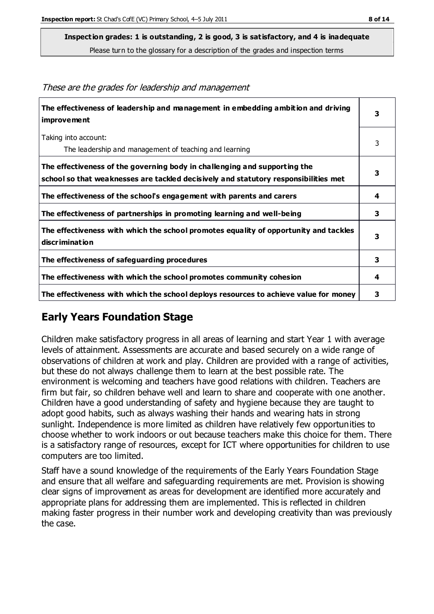**Inspection grades: 1 is outstanding, 2 is good, 3 is satisfactory, and 4 is inadequate**

Please turn to the glossary for a description of the grades and inspection terms

| The effectiveness of leadership and management in embedding ambition and driving<br>improvement                                                                  | 3 |
|------------------------------------------------------------------------------------------------------------------------------------------------------------------|---|
| Taking into account:<br>The leadership and management of teaching and learning                                                                                   | 3 |
| The effectiveness of the governing body in challenging and supporting the<br>school so that weaknesses are tackled decisively and statutory responsibilities met | 3 |
| The effectiveness of the school's engagement with parents and carers                                                                                             | 4 |
| The effectiveness of partnerships in promoting learning and well-being                                                                                           | 3 |
| The effectiveness with which the school promotes equality of opportunity and tackles<br>discrimination                                                           | 3 |
| The effectiveness of safeguarding procedures                                                                                                                     | 3 |
| The effectiveness with which the school promotes community cohesion                                                                                              | 4 |
| The effectiveness with which the school deploys resources to achieve value for money                                                                             | 3 |

#### These are the grades for leadership and management

# **Early Years Foundation Stage**

Children make satisfactory progress in all areas of learning and start Year 1 with average levels of attainment. Assessments are accurate and based securely on a wide range of observations of children at work and play. Children are provided with a range of activities, but these do not always challenge them to learn at the best possible rate. The environment is welcoming and teachers have good relations with children. Teachers are firm but fair, so children behave well and learn to share and cooperate with one another. Children have a good understanding of safety and hygiene because they are taught to adopt good habits, such as always washing their hands and wearing hats in strong sunlight. Independence is more limited as children have relatively few opportunities to choose whether to work indoors or out because teachers make this choice for them. There is a satisfactory range of resources, except for ICT where opportunities for children to use computers are too limited.

Staff have a sound knowledge of the requirements of the Early Years Foundation Stage and ensure that all welfare and safeguarding requirements are met. Provision is showing clear signs of improvement as areas for development are identified more accurately and appropriate plans for addressing them are implemented. This is reflected in children making faster progress in their number work and developing creativity than was previously the case.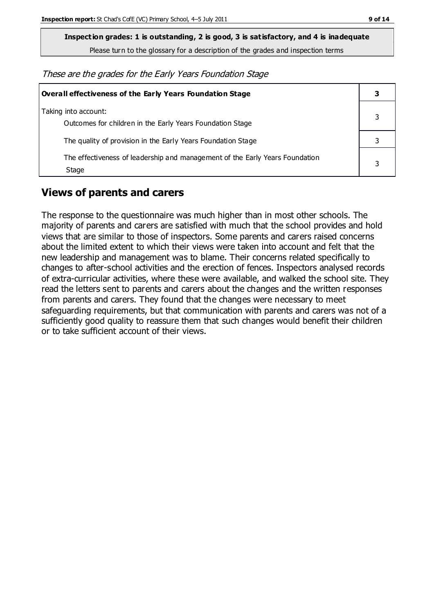**Inspection grades: 1 is outstanding, 2 is good, 3 is satisfactory, and 4 is inadequate**

Please turn to the glossary for a description of the grades and inspection terms

These are the grades for the Early Years Foundation Stage

| <b>Overall effectiveness of the Early Years Foundation Stage</b>                      |  |  |
|---------------------------------------------------------------------------------------|--|--|
| Taking into account:<br>Outcomes for children in the Early Years Foundation Stage     |  |  |
| The quality of provision in the Early Years Foundation Stage                          |  |  |
| The effectiveness of leadership and management of the Early Years Foundation<br>Stage |  |  |

## **Views of parents and carers**

The response to the questionnaire was much higher than in most other schools. The majority of parents and carers are satisfied with much that the school provides and hold views that are similar to those of inspectors. Some parents and carers raised concerns about the limited extent to which their views were taken into account and felt that the new leadership and management was to blame. Their concerns related specifically to changes to after-school activities and the erection of fences. Inspectors analysed records of extra-curricular activities, where these were available, and walked the school site. They read the letters sent to parents and carers about the changes and the written responses from parents and carers. They found that the changes were necessary to meet safeguarding requirements, but that communication with parents and carers was not of a sufficiently good quality to reassure them that such changes would benefit their children or to take sufficient account of their views.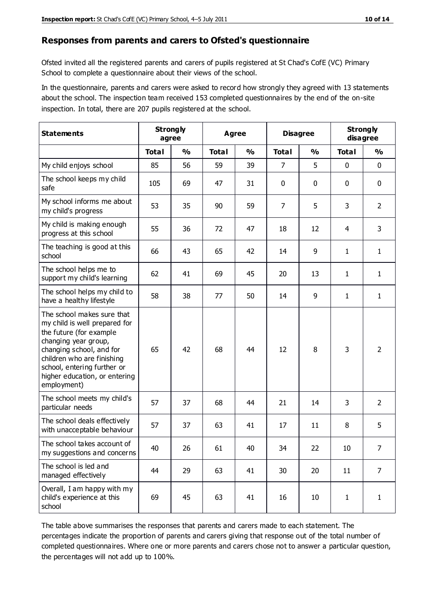#### **Responses from parents and carers to Ofsted's questionnaire**

Ofsted invited all the registered parents and carers of pupils registered at St Chad's CofE (VC) Primary School to complete a questionnaire about their views of the school.

In the questionnaire, parents and carers were asked to record how strongly they agreed with 13 statements about the school. The inspection team received 153 completed questionnaires by the end of the on-site inspection. In total, there are 207 pupils registered at the school.

| <b>Statements</b>                                                                                                                                                                                                                                       | <b>Strongly</b><br>agree |               | Agree        |               | <b>Disagree</b> |               | <b>Strongly</b><br>disagree |                |
|---------------------------------------------------------------------------------------------------------------------------------------------------------------------------------------------------------------------------------------------------------|--------------------------|---------------|--------------|---------------|-----------------|---------------|-----------------------------|----------------|
|                                                                                                                                                                                                                                                         | <b>Total</b>             | $\frac{0}{0}$ | <b>Total</b> | $\frac{0}{0}$ | <b>Total</b>    | $\frac{0}{0}$ | <b>Total</b>                | $\frac{9}{6}$  |
| My child enjoys school                                                                                                                                                                                                                                  | 85                       | 56            | 59           | 39            | 7               | 5             | $\mathbf 0$                 | $\mathbf 0$    |
| The school keeps my child<br>safe                                                                                                                                                                                                                       | 105                      | 69            | 47           | 31            | 0               | 0             | $\mathbf 0$                 | $\mathbf 0$    |
| My school informs me about<br>my child's progress                                                                                                                                                                                                       | 53                       | 35            | 90           | 59            | 7               | 5             | 3                           | $\overline{2}$ |
| My child is making enough<br>progress at this school                                                                                                                                                                                                    | 55                       | 36            | 72           | 47            | 18              | 12            | 4                           | 3              |
| The teaching is good at this<br>school                                                                                                                                                                                                                  | 66                       | 43            | 65           | 42            | 14              | 9             | 1                           | $\mathbf{1}$   |
| The school helps me to<br>support my child's learning                                                                                                                                                                                                   | 62                       | 41            | 69           | 45            | 20              | 13            | 1                           | $\mathbf{1}$   |
| The school helps my child to<br>have a healthy lifestyle                                                                                                                                                                                                | 58                       | 38            | 77           | 50            | 14              | 9             | $\mathbf{1}$                | $\mathbf{1}$   |
| The school makes sure that<br>my child is well prepared for<br>the future (for example<br>changing year group,<br>changing school, and for<br>children who are finishing<br>school, entering further or<br>higher education, or entering<br>employment) | 65                       | 42            | 68           | 44            | 12              | 8             | 3                           | $\overline{2}$ |
| The school meets my child's<br>particular needs                                                                                                                                                                                                         | 57                       | 37            | 68           | 44            | 21              | 14            | 3                           | $\overline{2}$ |
| The school deals effectively<br>with unacceptable behaviour                                                                                                                                                                                             | 57                       | 37            | 63           | 41            | 17              | 11            | 8                           | 5              |
| The school takes account of<br>my suggestions and concerns                                                                                                                                                                                              | 40                       | 26            | 61           | 40            | 34              | 22            | $10\,$                      | $\overline{7}$ |
| The school is led and<br>managed effectively                                                                                                                                                                                                            | 44                       | 29            | 63           | 41            | 30              | 20            | 11                          | $\overline{7}$ |
| Overall, I am happy with my<br>child's experience at this<br>school                                                                                                                                                                                     | 69                       | 45            | 63           | 41            | 16              | 10            | $\mathbf{1}$                | $\mathbf{1}$   |

The table above summarises the responses that parents and carers made to each statement. The percentages indicate the proportion of parents and carers giving that response out of the total number of completed questionnaires. Where one or more parents and carers chose not to answer a particular question, the percentages will not add up to 100%.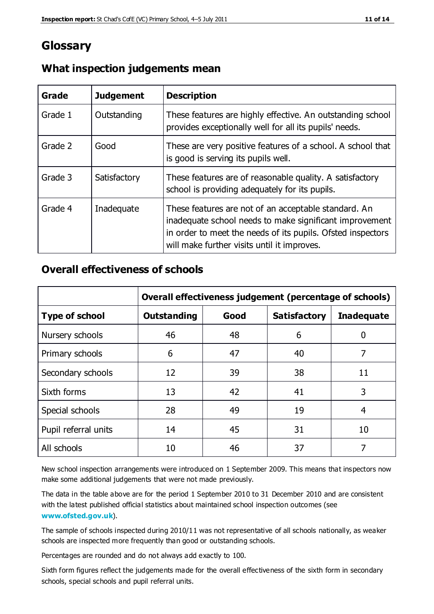# **Glossary**

| Grade   | <b>Judgement</b> | <b>Description</b>                                                                                                                                                                                                            |
|---------|------------------|-------------------------------------------------------------------------------------------------------------------------------------------------------------------------------------------------------------------------------|
| Grade 1 | Outstanding      | These features are highly effective. An outstanding school<br>provides exceptionally well for all its pupils' needs.                                                                                                          |
| Grade 2 | Good             | These are very positive features of a school. A school that<br>is good is serving its pupils well.                                                                                                                            |
| Grade 3 | Satisfactory     | These features are of reasonable quality. A satisfactory<br>school is providing adequately for its pupils.                                                                                                                    |
| Grade 4 | Inadequate       | These features are not of an acceptable standard. An<br>inadequate school needs to make significant improvement<br>in order to meet the needs of its pupils. Ofsted inspectors<br>will make further visits until it improves. |

#### **What inspection judgements mean**

#### **Overall effectiveness of schools**

|                       | Overall effectiveness judgement (percentage of schools) |      |                     |                   |
|-----------------------|---------------------------------------------------------|------|---------------------|-------------------|
| <b>Type of school</b> | <b>Outstanding</b>                                      | Good | <b>Satisfactory</b> | <b>Inadequate</b> |
| Nursery schools       | 46                                                      | 48   | 6                   |                   |
| Primary schools       | 6                                                       | 47   | 40                  | 7                 |
| Secondary schools     | 12                                                      | 39   | 38                  | 11                |
| Sixth forms           | 13                                                      | 42   | 41                  | 3                 |
| Special schools       | 28                                                      | 49   | 19                  | 4                 |
| Pupil referral units  | 14                                                      | 45   | 31                  | 10                |
| All schools           | 10                                                      | 46   | 37                  |                   |

New school inspection arrangements were introduced on 1 September 2009. This means that inspectors now make some additional judgements that were not made previously.

The data in the table above are for the period 1 September 2010 to 31 December 2010 and are consistent with the latest published official statistics about maintained school inspection outcomes (see **[www.ofsted.gov.uk](http://www.ofsted.gov.uk/)**).

The sample of schools inspected during 2010/11 was not representative of all schools nationally, as weaker schools are inspected more frequently than good or outstanding schools.

Percentages are rounded and do not always add exactly to 100.

Sixth form figures reflect the judgements made for the overall effectiveness of the sixth form in secondary schools, special schools and pupil referral units.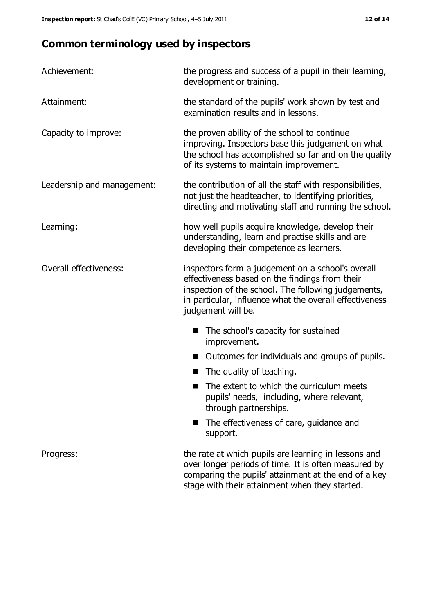# **Common terminology used by inspectors**

| Achievement:                  | the progress and success of a pupil in their learning,<br>development or training.                                                                                                                                                          |  |  |
|-------------------------------|---------------------------------------------------------------------------------------------------------------------------------------------------------------------------------------------------------------------------------------------|--|--|
| Attainment:                   | the standard of the pupils' work shown by test and<br>examination results and in lessons.                                                                                                                                                   |  |  |
| Capacity to improve:          | the proven ability of the school to continue<br>improving. Inspectors base this judgement on what<br>the school has accomplished so far and on the quality<br>of its systems to maintain improvement.                                       |  |  |
| Leadership and management:    | the contribution of all the staff with responsibilities,<br>not just the headteacher, to identifying priorities,<br>directing and motivating staff and running the school.                                                                  |  |  |
| Learning:                     | how well pupils acquire knowledge, develop their<br>understanding, learn and practise skills and are<br>developing their competence as learners.                                                                                            |  |  |
| <b>Overall effectiveness:</b> | inspectors form a judgement on a school's overall<br>effectiveness based on the findings from their<br>inspection of the school. The following judgements,<br>in particular, influence what the overall effectiveness<br>judgement will be. |  |  |
|                               | The school's capacity for sustained<br>improvement.                                                                                                                                                                                         |  |  |
|                               | Outcomes for individuals and groups of pupils.                                                                                                                                                                                              |  |  |
|                               | The quality of teaching.                                                                                                                                                                                                                    |  |  |
|                               | The extent to which the curriculum meets<br>pupils' needs, including, where relevant,<br>through partnerships.                                                                                                                              |  |  |
|                               | The effectiveness of care, guidance and<br>support.                                                                                                                                                                                         |  |  |
| Progress:                     | the rate at which pupils are learning in lessons and<br>over longer periods of time. It is often measured by<br>comparing the pupils' attainment at the end of a key                                                                        |  |  |

stage with their attainment when they started.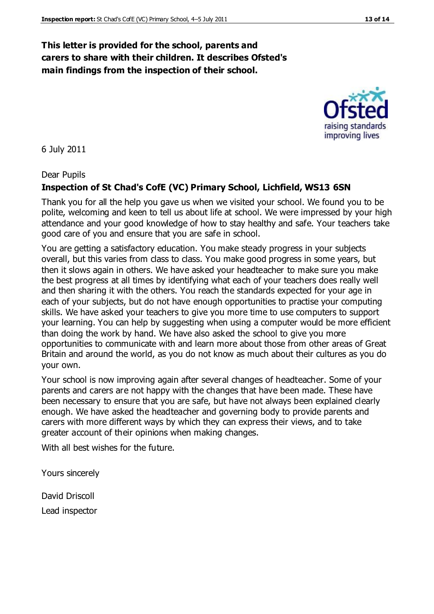#### **This letter is provided for the school, parents and carers to share with their children. It describes Ofsted's main findings from the inspection of their school.**

6 July 2011

Dear Pupils

#### **Inspection of St Chad's CofE (VC) Primary School, Lichfield, WS13 6SN**

Thank you for all the help you gave us when we visited your school. We found you to be polite, welcoming and keen to tell us about life at school. We were impressed by your high attendance and your good knowledge of how to stay healthy and safe. Your teachers take good care of you and ensure that you are safe in school.

You are getting a satisfactory education. You make steady progress in your subjects overall, but this varies from class to class. You make good progress in some years, but then it slows again in others. We have asked your headteacher to make sure you make the best progress at all times by identifying what each of your teachers does really well and then sharing it with the others. You reach the standards expected for your age in each of your subjects, but do not have enough opportunities to practise your computing skills. We have asked your teachers to give you more time to use computers to support your learning. You can help by suggesting when using a computer would be more efficient than doing the work by hand. We have also asked the school to give you more opportunities to communicate with and learn more about those from other areas of Great Britain and around the world, as you do not know as much about their cultures as you do your own.

Your school is now improving again after several changes of headteacher. Some of your parents and carers are not happy with the changes that have been made. These have been necessary to ensure that you are safe, but have not always been explained clearly enough. We have asked the headteacher and governing body to provide parents and carers with more different ways by which they can express their views, and to take greater account of their opinions when making changes.

With all best wishes for the future.

Yours sincerely

David Driscoll Lead inspector